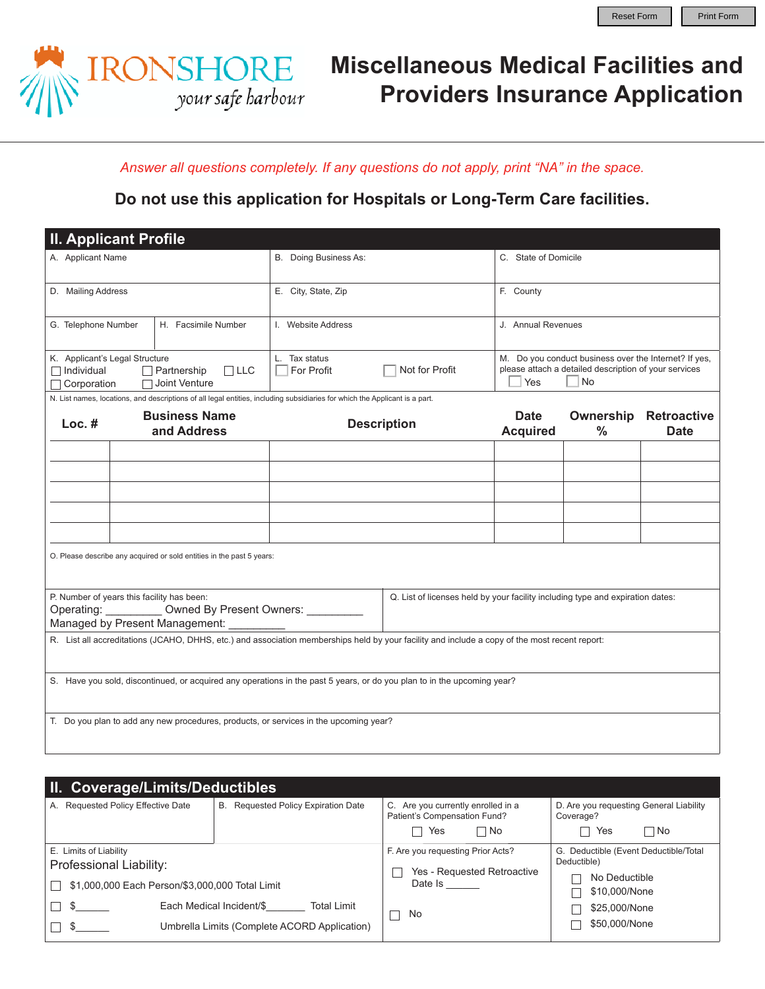

## **Miscellaneous Medical Facilities and Providers Insurance Application**

*Answer all questions completely. If any questions do not apply, print "NA" in the space.* 

**Do not use this application for Hospitals or Long-Term Care facilities.** 

| <b>II. Applicant Profile</b>                                                                                                                   |                                                                                                                                                                                                                           |                                                                                                                             |                       |                                                                                                                                    |                                |               |                                             |  |  |
|------------------------------------------------------------------------------------------------------------------------------------------------|---------------------------------------------------------------------------------------------------------------------------------------------------------------------------------------------------------------------------|-----------------------------------------------------------------------------------------------------------------------------|-----------------------|------------------------------------------------------------------------------------------------------------------------------------|--------------------------------|---------------|---------------------------------------------|--|--|
| A. Applicant Name                                                                                                                              |                                                                                                                                                                                                                           |                                                                                                                             | B. Doing Business As: |                                                                                                                                    | C. State of Domicile           |               |                                             |  |  |
| D. Mailing Address                                                                                                                             |                                                                                                                                                                                                                           |                                                                                                                             | E. City, State, Zip   |                                                                                                                                    | F. County                      |               |                                             |  |  |
| G. Telephone Number<br>H. Facsimile Number                                                                                                     |                                                                                                                                                                                                                           |                                                                                                                             | I. Website Address    |                                                                                                                                    | J. Annual Revenues             |               |                                             |  |  |
| K. Applicant's Legal Structure<br>$\Box$ LLC<br>$\Box$ Individual<br>$\Box$ Partnership<br>Joint Venture<br>Corporation                        |                                                                                                                                                                                                                           | L. Tax status<br>Not for Profit<br>For Profit                                                                               |                       | M. Do you conduct business over the Internet? If yes,<br>please attach a detailed description of your services<br><b>No</b><br>Yes |                                |               |                                             |  |  |
|                                                                                                                                                |                                                                                                                                                                                                                           | N. List names, locations, and descriptions of all legal entities, including subsidiaries for which the Applicant is a part. |                       |                                                                                                                                    |                                |               |                                             |  |  |
| $Loc.$ #                                                                                                                                       |                                                                                                                                                                                                                           | <b>Business Name</b><br>and Address                                                                                         | <b>Description</b>    |                                                                                                                                    | <b>Date</b><br><b>Acquired</b> | $\frac{0}{0}$ | <b>Ownership Retroactive</b><br><b>Date</b> |  |  |
|                                                                                                                                                |                                                                                                                                                                                                                           |                                                                                                                             |                       |                                                                                                                                    |                                |               |                                             |  |  |
|                                                                                                                                                |                                                                                                                                                                                                                           |                                                                                                                             |                       |                                                                                                                                    |                                |               |                                             |  |  |
|                                                                                                                                                |                                                                                                                                                                                                                           |                                                                                                                             |                       |                                                                                                                                    |                                |               |                                             |  |  |
|                                                                                                                                                |                                                                                                                                                                                                                           |                                                                                                                             |                       |                                                                                                                                    |                                |               |                                             |  |  |
|                                                                                                                                                |                                                                                                                                                                                                                           |                                                                                                                             |                       |                                                                                                                                    |                                |               |                                             |  |  |
|                                                                                                                                                | O. Please describe any acquired or sold entities in the past 5 years:                                                                                                                                                     |                                                                                                                             |                       |                                                                                                                                    |                                |               |                                             |  |  |
|                                                                                                                                                | P. Number of years this facility has been:<br>Q. List of licenses held by your facility including type and expiration dates:<br>Operating: __________ Owned By Present Owners: ________<br>Managed by Present Management: |                                                                                                                             |                       |                                                                                                                                    |                                |               |                                             |  |  |
| R. List all accreditations (JCAHO, DHHS, etc.) and association memberships held by your facility and include a copy of the most recent report: |                                                                                                                                                                                                                           |                                                                                                                             |                       |                                                                                                                                    |                                |               |                                             |  |  |
|                                                                                                                                                | S. Have you sold, discontinued, or acquired any operations in the past 5 years, or do you plan to in the upcoming year?                                                                                                   |                                                                                                                             |                       |                                                                                                                                    |                                |               |                                             |  |  |
|                                                                                                                                                | T. Do you plan to add any new procedures, products, or services in the upcoming year?                                                                                                                                     |                                                                                                                             |                       |                                                                                                                                    |                                |               |                                             |  |  |

| II. Coverage/Limits/Deductibles                                           |                                                |                                                                    |                                                      |  |  |  |  |  |  |
|---------------------------------------------------------------------------|------------------------------------------------|--------------------------------------------------------------------|------------------------------------------------------|--|--|--|--|--|--|
| B. Requested Policy Expiration Date<br>A. Requested Policy Effective Date |                                                | C. Are you currently enrolled in a<br>Patient's Compensation Fund? | D. Are you requesting General Liability<br>Coverage? |  |  |  |  |  |  |
|                                                                           |                                                | $\Box$ No<br>Yes                                                   | ∩ No<br>Yes                                          |  |  |  |  |  |  |
| E. Limits of Liability<br>Professional Liability:                         |                                                | F. Are you requesting Prior Acts?<br>Yes - Requested Retroactive   | G. Deductible (Event Deductible/Total<br>Deductible) |  |  |  |  |  |  |
| \$1,000,000 Each Person/\$3,000,000 Total Limit                           |                                                | Date Is                                                            | No Deductible<br>\$10,000/None                       |  |  |  |  |  |  |
|                                                                           | Each Medical Incident/\$<br><b>Total Limit</b> |                                                                    | \$25,000/None                                        |  |  |  |  |  |  |
|                                                                           | Umbrella Limits (Complete ACORD Application)   |                                                                    | \$50,000/None                                        |  |  |  |  |  |  |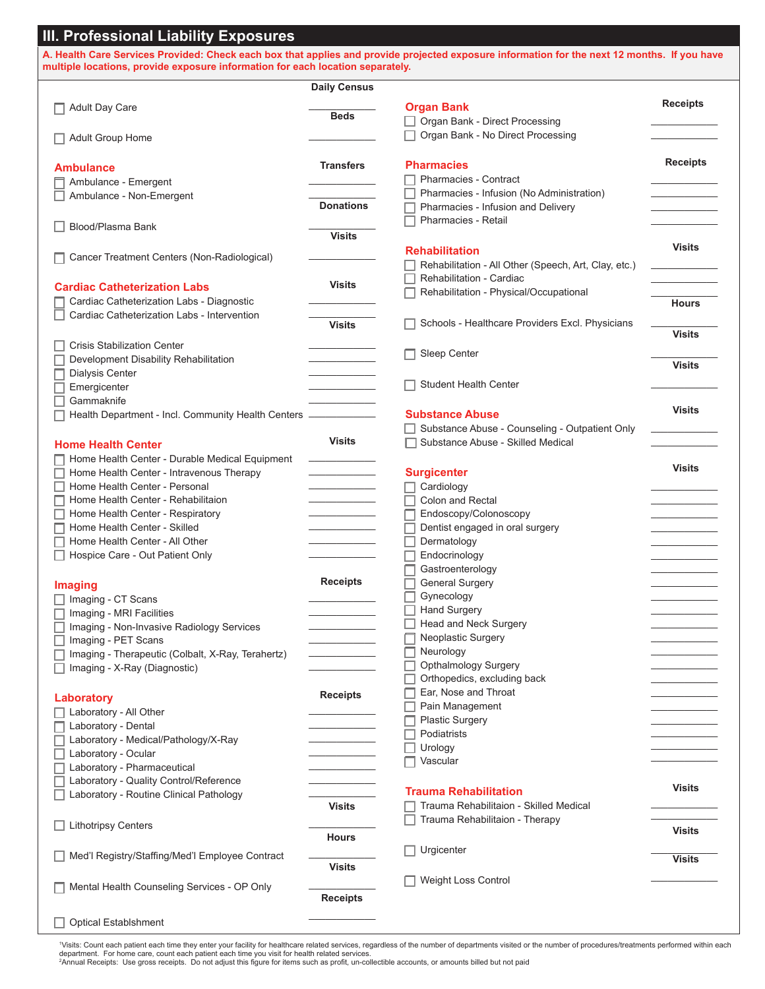| multiple locations, provide exposure information for each location separately. |                     | A. Health Care Services Provided: Check each box that applies and provide projected exposure information for the next 12 months. If you have |                 |
|--------------------------------------------------------------------------------|---------------------|----------------------------------------------------------------------------------------------------------------------------------------------|-----------------|
|                                                                                | <b>Daily Census</b> |                                                                                                                                              |                 |
| <b>Adult Day Care</b>                                                          |                     | <b>Organ Bank</b>                                                                                                                            | <b>Receipts</b> |
|                                                                                | <b>Beds</b>         | Organ Bank - Direct Processing                                                                                                               |                 |
|                                                                                |                     | Organ Bank - No Direct Processing                                                                                                            |                 |
| Adult Group Home                                                               |                     |                                                                                                                                              |                 |
| <b>Ambulance</b>                                                               | <b>Transfers</b>    | <b>Pharmacies</b>                                                                                                                            | <b>Receipts</b> |
| Ambulance - Emergent                                                           |                     | <b>Pharmacies - Contract</b>                                                                                                                 |                 |
| Ambulance - Non-Emergent                                                       |                     | Pharmacies - Infusion (No Administration)                                                                                                    |                 |
|                                                                                | <b>Donations</b>    | Pharmacies - Infusion and Delivery                                                                                                           |                 |
| Blood/Plasma Bank                                                              |                     | Pharmacies - Retail                                                                                                                          |                 |
|                                                                                | <b>Visits</b>       |                                                                                                                                              | <b>Visits</b>   |
| Cancer Treatment Centers (Non-Radiological)                                    |                     | <b>Rehabilitation</b>                                                                                                                        |                 |
|                                                                                |                     | Rehabilitation - All Other (Speech, Art, Clay, etc.)                                                                                         |                 |
| <b>Cardiac Catheterization Labs</b>                                            | <b>Visits</b>       | Rehabilitation - Cardiac                                                                                                                     |                 |
| Cardiac Catheterization Labs - Diagnostic                                      |                     | Rehabilitation - Physical/Occupational                                                                                                       | <b>Hours</b>    |
| Cardiac Catheterization Labs - Intervention                                    |                     |                                                                                                                                              |                 |
|                                                                                | <b>Visits</b>       | Schools - Healthcare Providers Excl. Physicians                                                                                              |                 |
| <b>Crisis Stabilization Center</b>                                             |                     |                                                                                                                                              | <b>Visits</b>   |
| Development Disability Rehabilitation                                          |                     | Sleep Center                                                                                                                                 |                 |
| <b>Dialysis Center</b>                                                         |                     |                                                                                                                                              | <b>Visits</b>   |
| Emergicenter                                                                   |                     | Student Health Center                                                                                                                        |                 |
| Gammaknife                                                                     |                     |                                                                                                                                              |                 |
| Health Department - Incl. Community Health Centers                             |                     | <b>Substance Abuse</b>                                                                                                                       | <b>Visits</b>   |
|                                                                                |                     | Substance Abuse - Counseling - Outpatient Only                                                                                               |                 |
| <b>Home Health Center</b>                                                      | <b>Visits</b>       | Substance Abuse - Skilled Medical                                                                                                            |                 |
| Home Health Center - Durable Medical Equipment                                 |                     |                                                                                                                                              |                 |
| Home Health Center - Intravenous Therapy                                       |                     | <b>Surgicenter</b>                                                                                                                           | <b>Visits</b>   |
| Home Health Center - Personal                                                  |                     | Cardiology                                                                                                                                   |                 |
| Home Health Center - Rehabilitaion                                             |                     | Colon and Rectal                                                                                                                             |                 |
| Home Health Center - Respiratory                                               |                     | Endoscopy/Colonoscopy                                                                                                                        |                 |
| Home Health Center - Skilled                                                   |                     | Dentist engaged in oral surgery                                                                                                              |                 |
| Home Health Center - All Other                                                 |                     | Dermatology                                                                                                                                  |                 |
| Hospice Care - Out Patient Only                                                |                     | Endocrinology                                                                                                                                |                 |
|                                                                                |                     | Gastroenterology                                                                                                                             |                 |
| Imaging                                                                        | <b>Receipts</b>     | <b>General Surgery</b>                                                                                                                       |                 |
| Imaging - CT Scans                                                             |                     | Gynecology                                                                                                                                   |                 |
| Imaging - MRI Facilities                                                       |                     | <b>Hand Surgery</b>                                                                                                                          |                 |
| Imaging - Non-Invasive Radiology Services                                      |                     | Head and Neck Surgery                                                                                                                        |                 |
| Imaging - PET Scans                                                            |                     | Neoplastic Surgery                                                                                                                           |                 |
| Imaging - Therapeutic (Colbalt, X-Ray, Terahertz)                              |                     | Neurology                                                                                                                                    |                 |
| Imaging - X-Ray (Diagnostic)                                                   |                     | Opthalmology Surgery                                                                                                                         |                 |
|                                                                                |                     | Orthopedics, excluding back                                                                                                                  |                 |
| Laboratory                                                                     | <b>Receipts</b>     | Ear, Nose and Throat                                                                                                                         |                 |
| Laboratory - All Other                                                         |                     | Pain Management                                                                                                                              |                 |
| Laboratory - Dental                                                            |                     | <b>Plastic Surgery</b>                                                                                                                       |                 |
| Laboratory - Medical/Pathology/X-Ray                                           |                     | Podiatrists                                                                                                                                  |                 |
| Laboratory - Ocular                                                            |                     | Urology                                                                                                                                      |                 |
| Laboratory - Pharmaceutical                                                    |                     | Vascular                                                                                                                                     |                 |
| Laboratory - Quality Control/Reference                                         |                     |                                                                                                                                              |                 |
| Laboratory - Routine Clinical Pathology                                        |                     | <b>Trauma Rehabilitation</b>                                                                                                                 | <b>Visits</b>   |
|                                                                                | <b>Visits</b>       | Trauma Rehabilitaion - Skilled Medical                                                                                                       |                 |
| <b>Lithotripsy Centers</b>                                                     |                     | Trauma Rehabilitaion - Therapy                                                                                                               |                 |
|                                                                                | <b>Hours</b>        |                                                                                                                                              | <b>Visits</b>   |
| Med'l Registry/Staffing/Med'l Employee Contract                                |                     | Urgicenter                                                                                                                                   |                 |
|                                                                                | <b>Visits</b>       |                                                                                                                                              | <b>Visits</b>   |
|                                                                                |                     | <b>Weight Loss Control</b>                                                                                                                   |                 |
| Mental Health Counseling Services - OP Only                                    |                     |                                                                                                                                              |                 |
|                                                                                | <b>Receipts</b>     |                                                                                                                                              |                 |

'Visits: Count each patient each time they enter your facility for healthcare related services, regardless of the number of departments visited or the number of procedures/treatments performed within each<br>department. For h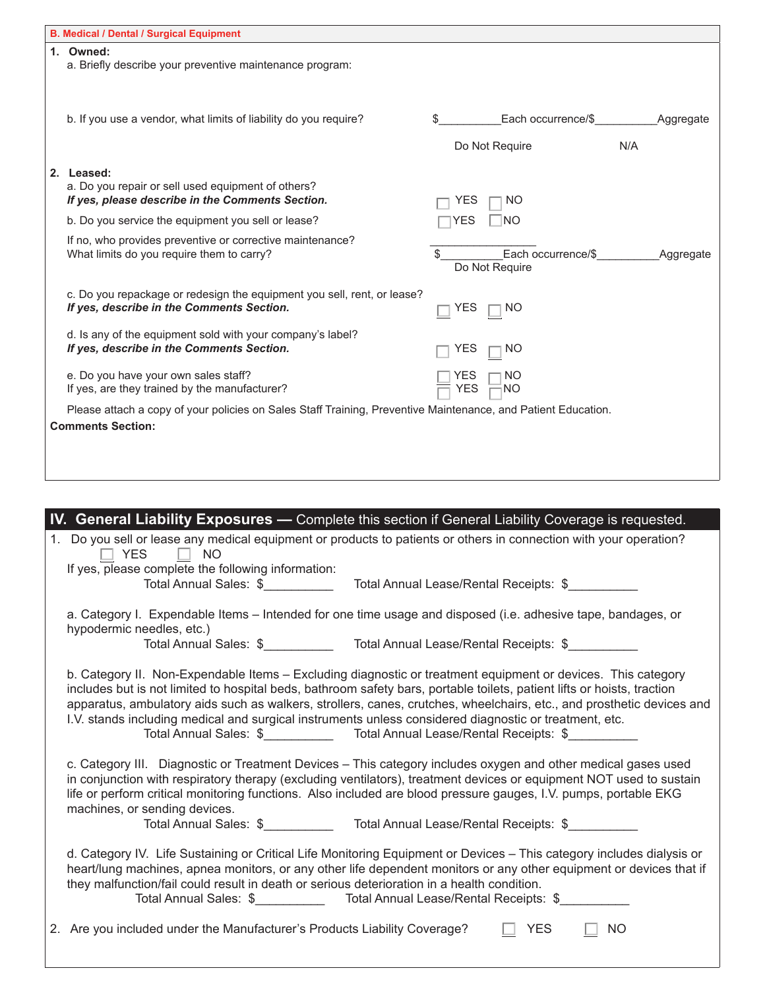| <b>B. Medical / Dental / Surgical Equipment</b>                                                                                                                                                                                                                                                                                                                                                                                                                                                                                                                  |                   |                                        |     |           |
|------------------------------------------------------------------------------------------------------------------------------------------------------------------------------------------------------------------------------------------------------------------------------------------------------------------------------------------------------------------------------------------------------------------------------------------------------------------------------------------------------------------------------------------------------------------|-------------------|----------------------------------------|-----|-----------|
| 1. Owned:<br>a. Briefly describe your preventive maintenance program:                                                                                                                                                                                                                                                                                                                                                                                                                                                                                            |                   |                                        |     |           |
| b. If you use a vendor, what limits of liability do you require?                                                                                                                                                                                                                                                                                                                                                                                                                                                                                                 |                   | Each occurrence/\$<br>Do Not Require   | N/A | Aggregate |
| 2. Leased:<br>a. Do you repair or sell used equipment of others?<br>If yes, please describe in the Comments Section.                                                                                                                                                                                                                                                                                                                                                                                                                                             | YES               | NO.                                    |     |           |
| b. Do you service the equipment you sell or lease?                                                                                                                                                                                                                                                                                                                                                                                                                                                                                                               | YES               | NΟ                                     |     |           |
| If no, who provides preventive or corrective maintenance?<br>What limits do you require them to carry?                                                                                                                                                                                                                                                                                                                                                                                                                                                           |                   | Each occurrence/\$<br>Do Not Require   |     | Aggregate |
| c. Do you repackage or redesign the equipment you sell, rent, or lease?<br>If yes, describe in the Comments Section.                                                                                                                                                                                                                                                                                                                                                                                                                                             | YES               | NO                                     |     |           |
| d. Is any of the equipment sold with your company's label?<br>If yes, describe in the Comments Section.                                                                                                                                                                                                                                                                                                                                                                                                                                                          | YES               | NO.                                    |     |           |
| e. Do you have your own sales staff?<br>If yes, are they trained by the manufacturer?                                                                                                                                                                                                                                                                                                                                                                                                                                                                            | YES<br><b>YES</b> | ΝO<br>NΟ                               |     |           |
| Please attach a copy of your policies on Sales Staff Training, Preventive Maintenance, and Patient Education.                                                                                                                                                                                                                                                                                                                                                                                                                                                    |                   |                                        |     |           |
| <b>Comments Section:</b>                                                                                                                                                                                                                                                                                                                                                                                                                                                                                                                                         |                   |                                        |     |           |
|                                                                                                                                                                                                                                                                                                                                                                                                                                                                                                                                                                  |                   |                                        |     |           |
|                                                                                                                                                                                                                                                                                                                                                                                                                                                                                                                                                                  |                   |                                        |     |           |
|                                                                                                                                                                                                                                                                                                                                                                                                                                                                                                                                                                  |                   |                                        |     |           |
| IV. General Liability Exposures - Complete this section if General Liability Coverage is requested.                                                                                                                                                                                                                                                                                                                                                                                                                                                              |                   |                                        |     |           |
| 1. Do you sell or lease any medical equipment or products to patients or others in connection with your operation?<br><b>YES</b><br><b>NO</b><br>If yes, please complete the following information:                                                                                                                                                                                                                                                                                                                                                              |                   |                                        |     |           |
| Total Annual Sales: \$                                                                                                                                                                                                                                                                                                                                                                                                                                                                                                                                           |                   | Total Annual Lease/Rental Receipts: \$ |     |           |
| a. Category I. Expendable Items - Intended for one time usage and disposed (i.e. adhesive tape, bandages, or<br>hypodermic needles, etc.)                                                                                                                                                                                                                                                                                                                                                                                                                        |                   |                                        |     |           |
| Total Annual Sales: \$_______________ Total Annual Lease/Rental Receipts: \$________                                                                                                                                                                                                                                                                                                                                                                                                                                                                             |                   |                                        |     |           |
| b. Category II. Non-Expendable Items - Excluding diagnostic or treatment equipment or devices. This category<br>includes but is not limited to hospital beds, bathroom safety bars, portable toilets, patient lifts or hoists, traction<br>apparatus, ambulatory aids such as walkers, strollers, canes, crutches, wheelchairs, etc., and prosthetic devices and<br>I.V. stands including medical and surgical instruments unless considered diagnostic or treatment, etc.<br>Total Annual Sales: \$______________ Total Annual Lease/Rental Receipts: \$_______ |                   |                                        |     |           |
| c. Category III. Diagnostic or Treatment Devices – This category includes oxygen and other medical gases used<br>in conjunction with respiratory therapy (excluding ventilators), treatment devices or equipment NOT used to sustain<br>life or perform critical monitoring functions. Also included are blood pressure gauges, I.V. pumps, portable EKG<br>machines, or sending devices.                                                                                                                                                                        |                   |                                        |     |           |
| Total Annual Sales: \$_______________ Total Annual Lease/Rental Receipts: \$__________                                                                                                                                                                                                                                                                                                                                                                                                                                                                           |                   |                                        |     |           |
| d. Category IV. Life Sustaining or Critical Life Monitoring Equipment or Devices - This category includes dialysis or<br>heart/lung machines, apnea monitors, or any other life dependent monitors or any other equipment or devices that if<br>they malfunction/fail could result in death or serious deterioration in a health condition.<br>Total Annual Sales: \$                                                                                                                                                                                            |                   | Total Annual Lease/Rental Receipts: \$ |     |           |

|  | 2. Are you included under the Manufacturer's Products Liability Coverage? | $\Box$ YES | $\Box$ NO |  |
|--|---------------------------------------------------------------------------|------------|-----------|--|
|--|---------------------------------------------------------------------------|------------|-----------|--|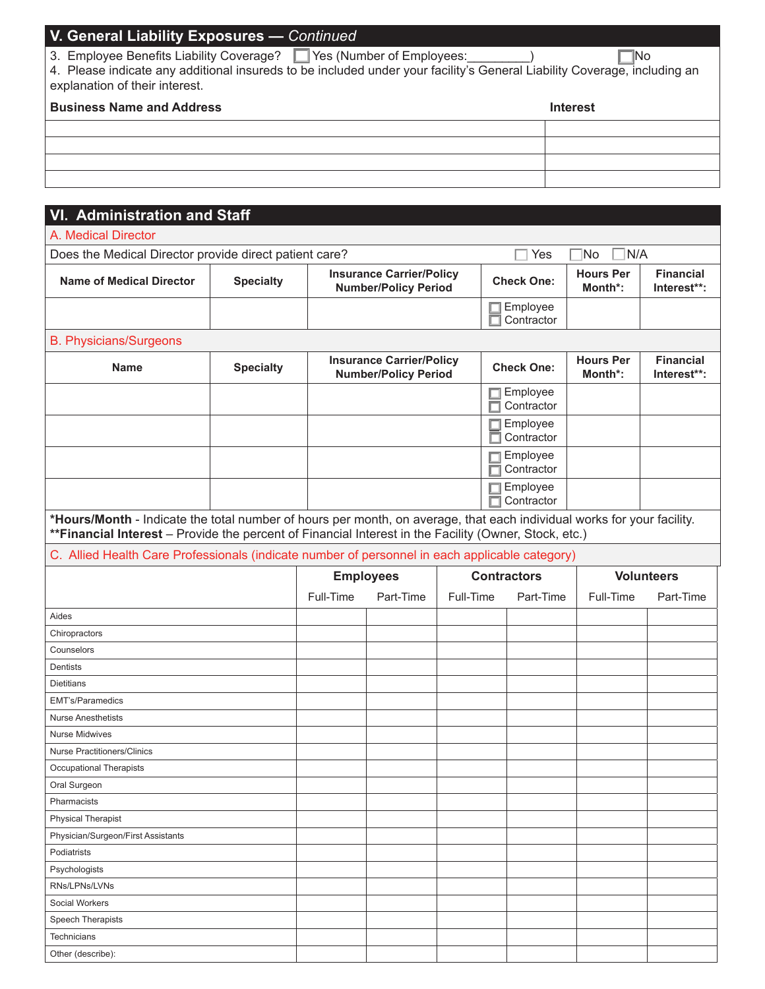# **V. General Liability Exposures —** *Continued*  3. Employee Benefits Liability Coverage? Ves (Number of Employees: 1988) 4. Please indicate any additional insureds to be included under your facility's General Liability Coverage, including an explanation of their interest. **Business Name and Address Interest**

| <b>VI. Administration and Staff</b>                                                                                                                                                                                              |                  |                                                                |                                                                |           |                        |                             |                                 |
|----------------------------------------------------------------------------------------------------------------------------------------------------------------------------------------------------------------------------------|------------------|----------------------------------------------------------------|----------------------------------------------------------------|-----------|------------------------|-----------------------------|---------------------------------|
| A. Medical Director                                                                                                                                                                                                              |                  |                                                                |                                                                |           |                        |                             |                                 |
| Does the Medical Director provide direct patient care?                                                                                                                                                                           |                  |                                                                |                                                                |           | Yes                    | N/A<br> No                  |                                 |
| <b>Name of Medical Director</b>                                                                                                                                                                                                  | <b>Specialty</b> | <b>Insurance Carrier/Policy</b><br><b>Number/Policy Period</b> |                                                                |           | <b>Check One:</b>      | <b>Hours Per</b><br>Month*: | <b>Financial</b><br>Interest**: |
|                                                                                                                                                                                                                                  |                  |                                                                |                                                                |           | Employee<br>Contractor |                             |                                 |
| <b>B. Physicians/Surgeons</b>                                                                                                                                                                                                    |                  |                                                                |                                                                |           |                        |                             |                                 |
| <b>Name</b>                                                                                                                                                                                                                      | <b>Specialty</b> |                                                                | <b>Insurance Carrier/Policy</b><br><b>Number/Policy Period</b> |           | <b>Check One:</b>      | <b>Hours Per</b><br>Month*: | <b>Financial</b><br>Interest**: |
|                                                                                                                                                                                                                                  |                  |                                                                |                                                                |           | Employee<br>Contractor |                             |                                 |
|                                                                                                                                                                                                                                  |                  |                                                                |                                                                |           | Employee<br>Contractor |                             |                                 |
|                                                                                                                                                                                                                                  |                  |                                                                |                                                                |           | Employee<br>Contractor |                             |                                 |
|                                                                                                                                                                                                                                  |                  |                                                                |                                                                |           | Employee<br>Contractor |                             |                                 |
| *Hours/Month - Indicate the total number of hours per month, on average, that each individual works for your facility.<br>** Financial Interest - Provide the percent of Financial Interest in the Facility (Owner, Stock, etc.) |                  |                                                                |                                                                |           |                        |                             |                                 |
| C. Allied Health Care Professionals (indicate number of personnel in each applicable category)                                                                                                                                   |                  |                                                                |                                                                |           |                        |                             |                                 |
|                                                                                                                                                                                                                                  |                  |                                                                | <b>Employees</b>                                               |           | <b>Contractors</b>     |                             | <b>Volunteers</b>               |
|                                                                                                                                                                                                                                  |                  | Full-Time                                                      | Part-Time                                                      | Full-Time | Part-Time              | Full-Time                   | Part-Time                       |
| Aides                                                                                                                                                                                                                            |                  |                                                                |                                                                |           |                        |                             |                                 |
| Chiropractors                                                                                                                                                                                                                    |                  |                                                                |                                                                |           |                        |                             |                                 |
| Counselors                                                                                                                                                                                                                       |                  |                                                                |                                                                |           |                        |                             |                                 |
| Dentists                                                                                                                                                                                                                         |                  |                                                                |                                                                |           |                        |                             |                                 |
| <b>Dietitians</b>                                                                                                                                                                                                                |                  |                                                                |                                                                |           |                        |                             |                                 |
| <b>EMT's/Paramedics</b>                                                                                                                                                                                                          |                  |                                                                |                                                                |           |                        |                             |                                 |
| <b>Nurse Anesthetists</b>                                                                                                                                                                                                        |                  |                                                                |                                                                |           |                        |                             |                                 |
| <b>Nurse Midwives</b>                                                                                                                                                                                                            |                  |                                                                |                                                                |           |                        |                             |                                 |
| <b>Nurse Practitioners/Clinics</b>                                                                                                                                                                                               |                  |                                                                |                                                                |           |                        |                             |                                 |
| Occupational Therapists                                                                                                                                                                                                          |                  |                                                                |                                                                |           |                        |                             |                                 |
| Oral Surgeon                                                                                                                                                                                                                     |                  |                                                                |                                                                |           |                        |                             |                                 |
| Pharmacists                                                                                                                                                                                                                      |                  |                                                                |                                                                |           |                        |                             |                                 |
| <b>Physical Therapist</b>                                                                                                                                                                                                        |                  |                                                                |                                                                |           |                        |                             |                                 |
| Physician/Surgeon/First Assistants                                                                                                                                                                                               |                  |                                                                |                                                                |           |                        |                             |                                 |
| Podiatrists                                                                                                                                                                                                                      |                  |                                                                |                                                                |           |                        |                             |                                 |
| Psychologists                                                                                                                                                                                                                    |                  |                                                                |                                                                |           |                        |                             |                                 |
| RNs/LPNs/LVNs                                                                                                                                                                                                                    |                  |                                                                |                                                                |           |                        |                             |                                 |
| Social Workers                                                                                                                                                                                                                   |                  |                                                                |                                                                |           |                        |                             |                                 |
| Speech Therapists                                                                                                                                                                                                                |                  |                                                                |                                                                |           |                        |                             |                                 |
| Technicians                                                                                                                                                                                                                      |                  |                                                                |                                                                |           |                        |                             |                                 |
| Other (describe):                                                                                                                                                                                                                |                  |                                                                |                                                                |           |                        |                             |                                 |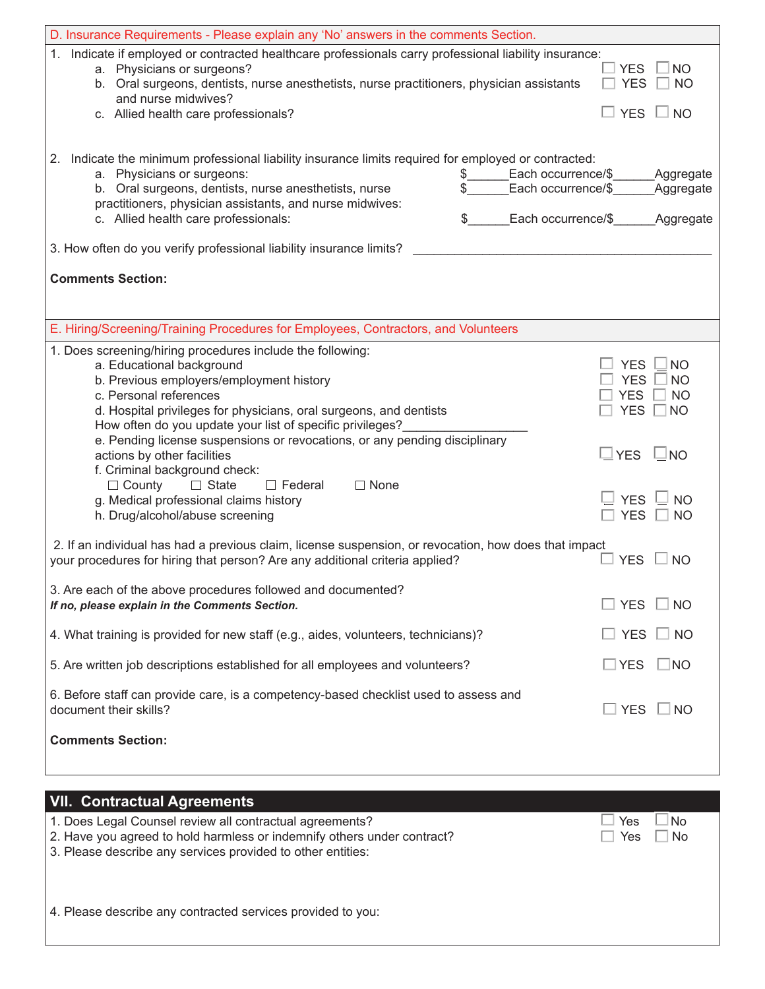| D. Insurance Requirements - Please explain any 'No' answers in the comments Section.                                                                                                                                                                                                                                                                                                                                                                                                      |                                                                                                          |  |  |  |  |  |
|-------------------------------------------------------------------------------------------------------------------------------------------------------------------------------------------------------------------------------------------------------------------------------------------------------------------------------------------------------------------------------------------------------------------------------------------------------------------------------------------|----------------------------------------------------------------------------------------------------------|--|--|--|--|--|
| Indicate if employed or contracted healthcare professionals carry professional liability insurance:<br>1.<br>a. Physicians or surgeons?<br>b. Oral surgeons, dentists, nurse anesthetists, nurse practitioners, physician assistants<br>and nurse midwives?<br>c. Allied health care professionals?                                                                                                                                                                                       | <b>NO</b><br><b>YES</b><br><b>YES</b><br><b>NO</b><br>YES $\Box$ NO                                      |  |  |  |  |  |
| Indicate the minimum professional liability insurance limits required for employed or contracted:<br>2.<br>a. Physicians or surgeons:<br>Each occurrence/\$<br>$\delta$<br>b. Oral surgeons, dentists, nurse anesthetists, nurse<br>Each occurrence/\$<br>practitioners, physician assistants, and nurse midwives:<br>c. Allied health care professionals:<br>Each occurrence/\$<br>\$<br>3. How often do you verify professional liability insurance limits?<br><b>Comments Section:</b> | Aggregate<br>Aggregate<br><b>Aggregate</b>                                                               |  |  |  |  |  |
|                                                                                                                                                                                                                                                                                                                                                                                                                                                                                           |                                                                                                          |  |  |  |  |  |
| E. Hiring/Screening/Training Procedures for Employees, Contractors, and Volunteers                                                                                                                                                                                                                                                                                                                                                                                                        |                                                                                                          |  |  |  |  |  |
| 1. Does screening/hiring procedures include the following:<br>a. Educational background<br>b. Previous employers/employment history<br>c. Personal references<br>d. Hospital privileges for physicians, oral surgeons, and dentists<br>How often do you update your list of specific privileges?                                                                                                                                                                                          | <b>YES</b><br><b>NO</b><br><b>YES</b><br><b>NO</b><br><b>YES</b><br><b>NO</b><br><b>YES</b><br><b>NO</b> |  |  |  |  |  |
| e. Pending license suspensions or revocations, or any pending disciplinary<br>actions by other facilities<br>f. Criminal background check:<br>$\Box$ State<br>$\Box$ Federal<br>$\Box$ None<br>$\Box$ County                                                                                                                                                                                                                                                                              | $\sqcup$ YES<br>$\Box$ NO                                                                                |  |  |  |  |  |
| g. Medical professional claims history<br>h. Drug/alcohol/abuse screening                                                                                                                                                                                                                                                                                                                                                                                                                 | <b>YFS</b><br>NΟ<br>YES<br>NΟ                                                                            |  |  |  |  |  |
| 2. If an individual has had a previous claim, license suspension, or revocation, how does that impact<br>your procedures for hiring that person? Are any additional criteria applied?                                                                                                                                                                                                                                                                                                     | <b>YES</b><br>NO.                                                                                        |  |  |  |  |  |
| 3. Are each of the above procedures followed and documented?<br>If no, please explain in the Comments Section.                                                                                                                                                                                                                                                                                                                                                                            | <b>YES</b><br>$\overline{\phantom{a}}$ NO                                                                |  |  |  |  |  |
| 4. What training is provided for new staff (e.g., aides, volunteers, technicians)?                                                                                                                                                                                                                                                                                                                                                                                                        | $\Box$ Yes $\Box$<br>$\sqcup$ NO                                                                         |  |  |  |  |  |
| 5. Are written job descriptions established for all employees and volunteers?                                                                                                                                                                                                                                                                                                                                                                                                             | $\square$ YES<br>$\square$ NO                                                                            |  |  |  |  |  |
| 6. Before staff can provide care, is a competency-based checklist used to assess and<br>document their skills?                                                                                                                                                                                                                                                                                                                                                                            | $\square$ YES $\square$ NO                                                                               |  |  |  |  |  |
| <b>Comments Section:</b>                                                                                                                                                                                                                                                                                                                                                                                                                                                                  |                                                                                                          |  |  |  |  |  |
|                                                                                                                                                                                                                                                                                                                                                                                                                                                                                           |                                                                                                          |  |  |  |  |  |
| <b>VII. Contractual Agreements</b>                                                                                                                                                                                                                                                                                                                                                                                                                                                        |                                                                                                          |  |  |  |  |  |
| 1. Does Legal Counsel review all contractual agreements?                                                                                                                                                                                                                                                                                                                                                                                                                                  | Yes<br>N <sub>o</sub>                                                                                    |  |  |  |  |  |

2. Have you agreed to hold harmless or indemnify others under contract?  $\hfill\Box$  Yes  $\hfill\Box$  Yes  $\hfill\Box$  No

3. Please describe any services provided to other entities:

4. Please describe any contracted services provided to you: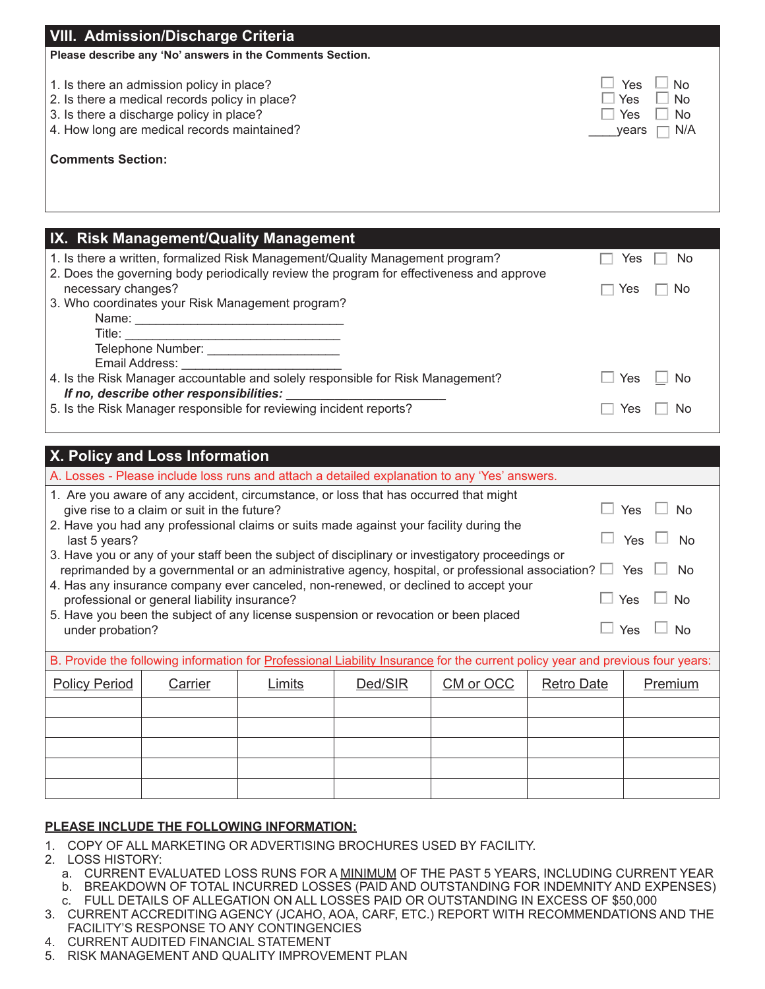| <b>VIII. Admission/Discharge Criteria</b><br>Please describe any 'No' answers in the Comments Section.                                                                                 |                                                      |
|----------------------------------------------------------------------------------------------------------------------------------------------------------------------------------------|------------------------------------------------------|
| 1. Is there an admission policy in place?<br>2. Is there a medical records policy in place?<br>3. Is there a discharge policy in place?<br>4. How long are medical records maintained? | Yes<br>No<br>Yes<br>No<br>Yes<br>No.<br>N/A<br>vears |
| <b>Comments Section:</b>                                                                                                                                                               |                                                      |
|                                                                                                                                                                                        |                                                      |
| IX. Risk Management/Quality Management                                                                                                                                                 |                                                      |
|                                                                                                                                                                                        |                                                      |
| 1. Is there a written, formalized Risk Management/Quality Management program?                                                                                                          | No<br>Yes                                            |
| 2. Does the governing body periodically review the program for effectiveness and approve<br>necessary changes?<br>3. Who coordinates your Risk Management program?                     | Yes<br>No                                            |
|                                                                                                                                                                                        |                                                      |
|                                                                                                                                                                                        |                                                      |
| 4. Is the Risk Manager accountable and solely responsible for Risk Management?                                                                                                         | Yes<br>No                                            |
| If no, describe other responsibilities:<br>5. Is the Risk Manager responsible for reviewing incident reports?                                                                          | Nο<br>Yes                                            |

| X. Policy and Loss Information                                                                                                                                                                                            |                                                                           |  |  |                                                                                                                                |  |                       |  |  |  |
|---------------------------------------------------------------------------------------------------------------------------------------------------------------------------------------------------------------------------|---------------------------------------------------------------------------|--|--|--------------------------------------------------------------------------------------------------------------------------------|--|-----------------------|--|--|--|
| A. Losses - Please include loss runs and attach a detailed explanation to any 'Yes' answers.                                                                                                                              |                                                                           |  |  |                                                                                                                                |  |                       |  |  |  |
| 1. Are you aware of any accident, circumstance, or loss that has occurred that might<br>Yes<br>give rise to a claim or suit in the future?<br>No.                                                                         |                                                                           |  |  |                                                                                                                                |  |                       |  |  |  |
| 2. Have you had any professional claims or suits made against your facility during the<br>Yes<br>No<br>last 5 years?<br>3. Have you or any of your staff been the subject of disciplinary or investigatory proceedings or |                                                                           |  |  |                                                                                                                                |  |                       |  |  |  |
|                                                                                                                                                                                                                           |                                                                           |  |  | reprimanded by a governmental or an administrative agency, hospital, or professional association? $\Box$                       |  | Yes<br>N <sub>0</sub> |  |  |  |
|                                                                                                                                                                                                                           | professional or general liability insurance?                              |  |  | 4. Has any insurance company ever canceled, non-renewed, or declined to accept your                                            |  | Yes<br><b>No</b>      |  |  |  |
| 5. Have you been the subject of any license suspension or revocation or been placed<br>Yes<br>No<br>under probation?                                                                                                      |                                                                           |  |  |                                                                                                                                |  |                       |  |  |  |
|                                                                                                                                                                                                                           |                                                                           |  |  | B. Provide the following information for Professional Liability Insurance for the current policy year and previous four years: |  |                       |  |  |  |
| <b>Policy Period</b>                                                                                                                                                                                                      | CM or OCC<br>Ded/SIR<br><b>Retro Date</b><br>Premium<br>Limits<br>Carrier |  |  |                                                                                                                                |  |                       |  |  |  |
|                                                                                                                                                                                                                           |                                                                           |  |  |                                                                                                                                |  |                       |  |  |  |
|                                                                                                                                                                                                                           |                                                                           |  |  |                                                                                                                                |  |                       |  |  |  |
|                                                                                                                                                                                                                           |                                                                           |  |  |                                                                                                                                |  |                       |  |  |  |
|                                                                                                                                                                                                                           |                                                                           |  |  |                                                                                                                                |  |                       |  |  |  |
|                                                                                                                                                                                                                           |                                                                           |  |  |                                                                                                                                |  |                       |  |  |  |

#### **PLEASE INCLUDE THE FOLLOWING INFORMATION:**

- COPY OF ALL MARKETING OR ADVERTISING BROCHURES USED BY FACILITY. 1.
- 2. LOSS HISTORY:
	- a. CURRENT EVALUATED LOSS RUNS FOR A <u>MINIMUM</u> OF THE PAST 5 YEARS, INCLUDING CURRENT YEAR
	- BREAKDOWN OF TOTAL INCURRED LOSSES (PAID AND OUTSTANDING FOR INDEMNITY AND EXPENSES) b.
- FULL DETAILS OF ALLEGATION ON ALL LOSSES PAID OR OUTSTANDING IN EXCESS OF \$50,000 c.
- CURRENT ACCREDITING AGENCY (JCAHO, AOA, CARF, ETC.) REPORT WITH RECOMMENDATIONS AND THE 3. FACILITY'S RESPONSE TO ANY CONTINGENCIES
- CURRENT AUDITED FINANCIAL STATEMENT 4.
- 5. RISK MANAGEMENT AND QUALITY IMPROVEMENT PLAN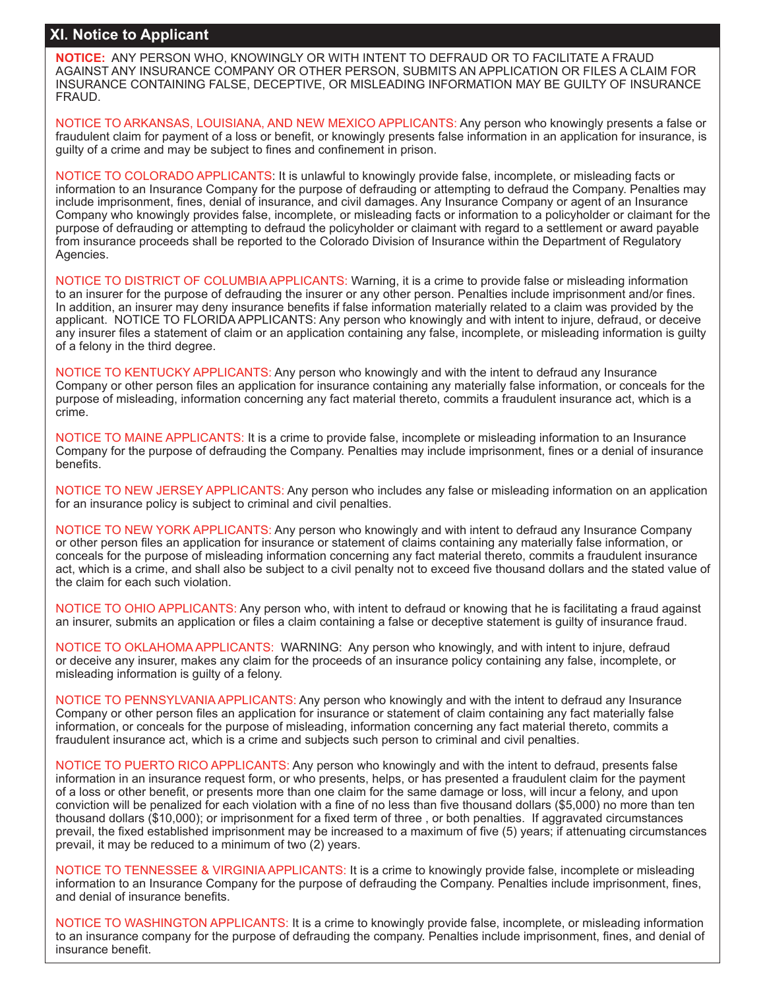### **XI. Notice to Applicant**

**XI. Notice to Applicant NOTICE:** ANY PERSON WHO, KNOWINGLY OR WITH INTENT TO DEFRAUD OR TO FACILITATE A FRAUD AGAINST ANY INSURANCE COMPANY OR OTHER PERSON, SUBMITS AN APPLICATION OR FILES A CLAIM FOR INSURANCE CONTAINING FALSE, DECEPTIVE, OR MISLEADING INFORMATION MAY BE GUILTY OF INSURANCE FRAUD.

NOTICE TO ARKANSAS, LOUISIANA, AND NEW MEXICO APPLICANTS: Any person who knowingly presents a false or fraudulent claim for payment of a loss or benefit, or knowingly presents false information in an application for insurance, is guilty of a crime and may be subject to fines and confinement in prison.

NOTICE TO COLORADO APPLICANTS: It is unlawful to knowingly provide false, incomplete, or misleading facts or information to an Insurance Company for the purpose of defrauding or attempting to defraud the Company. Penalties may include imprisonment, fines, denial of insurance, and civil damages. Any Insurance Company or agent of an Insurance Company who knowingly provides false, incomplete, or misleading facts or information to a policyholder or claimant for the purpose of defrauding or attempting to defraud the policyholder or claimant with regard to a settlement or award payable from insurance proceeds shall be reported to the Colorado Division of Insurance within the Department of Regulatory Agencies.

NOTICE TO DISTRICT OF COLUMBIA APPLICANTS: Warning, it is a crime to provide false or misleading information to an insurer for the purpose of defrauding the insurer or any other person. Penalties include imprisonment and/or fines. In addition, an insurer may deny insurance benefits if false information materially related to a claim was provided by the applicant. NOTICE TO FLORIDA APPLICANTS: Any person who knowingly and with intent to injure, defraud, or deceive any insurer files a statement of claim or an application containing any false, incomplete, or misleading information is guilty of a felony in the third degree.

NOTICE TO KENTUCKY APPLICANTS: Any person who knowingly and with the intent to defraud any Insurance Company or other person files an application for insurance containing any materially false information, or conceals for the purpose of misleading, information concerning any fact material thereto, commits a fraudulent insurance act, which is a crime.

NOTICE TO MAINE APPLICANTS: It is a crime to provide false, incomplete or misleading information to an Insurance Company for the purpose of defrauding the Company. Penalties may include imprisonment, fines or a denial of insurance benefits.

NOTICE TO NEW JERSEY APPLICANTS: Any person who includes any false or misleading information on an application for an insurance policy is subject to criminal and civil penalties.

NOTICE TO NEW YORK APPLICANTS: Any person who knowingly and with intent to defraud any Insurance Company or other person files an application for insurance or statement of claims containing any materially false information, or conceals for the purpose of misleading information concerning any fact material thereto, commits a fraudulent insurance act, which is a crime, and shall also be subject to a civil penalty not to exceed five thousand dollars and the stated value of the claim for each such violation.

NOTICE TO OHIO APPLICANTS: Any person who, with intent to defraud or knowing that he is facilitating a fraud against an insurer, submits an application or files a claim containing a false or deceptive statement is guilty of insurance fraud.

NOTICE TO OKLAHOMA APPLICANTS: WARNING: Any person who knowingly, and with intent to injure, defraud or deceive any insurer, makes any claim for the proceeds of an insurance policy containing any false, incomplete, or misleading information is guilty of a felony.

NOTICE TO PENNSYLVANIA APPLICANTS: Any person who knowingly and with the intent to defraud any Insurance Company or other person files an application for insurance or statement of claim containing any fact materially false information, or conceals for the purpose of misleading, information concerning any fact material thereto, commits a fraudulent insurance act, which is a crime and subjects such person to criminal and civil penalties.

NOTICE TO PUERTO RICO APPLICANTS: Any person who knowingly and with the intent to defraud, presents false information in an insurance request form, or who presents, helps, or has presented a fraudulent claim for the payment of a loss or other benefit, or presents more than one claim for the same damage or loss, will incur a felony, and upon conviction will be penalized for each violation with a fine of no less than five thousand dollars (\$5,000) no more than ten thousand dollars (\$10,000); or imprisonment for a fixed term of three , or both penalties. If aggravated circumstances prevail, the fixed established imprisonment may be increased to a maximum of five (5) years; if attenuating circumstances prevail, it may be reduced to a minimum of two (2) years.

NOTICE TO TENNESSEE & VIRGINIA APPLICANTS: It is a crime to knowingly provide false, incomplete or misleading information to an Insurance Company for the purpose of defrauding the Company. Penalties include imprisonment, fines, and denial of insurance benefits.

NOTICE TO WASHINGTON APPLICANTS: It is a crime to knowingly provide false, incomplete, or misleading information to an insurance company for the purpose of defrauding the company. Penalties include imprisonment, fines, and denial of insurance benefit.